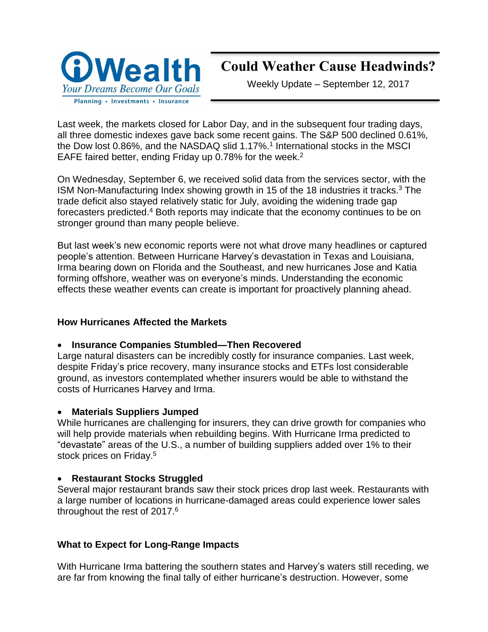

# Could Weather Cause Headwinds?

Weekly Update – September 12, 2017

Last week, the markets closed for Labor Day, and in the subsequent four trading days, all three domestic indexes gave back some recent gains. The S&P 500 declined 0.61%, the Dow lost 0.86%, and the NASDAQ slid 1.17%.<sup>1</sup> International stocks in the MSCI EAFE faired better, ending Friday up 0.78% for the week.<sup>2</sup>

On Wednesday, September 6, we received solid data from the services sector, with the ISM Non-Manufacturing Index showing growth in 15 of the 18 industries it tracks.<sup>3</sup> The trade deficit also stayed relatively static for July, avoiding the widening trade gap forecasters predicted.<sup>4</sup> Both reports may indicate that the economy continues to be on stronger ground than many people believe.

But last week's new economic reports were not what drove many headlines or captured people's attention. Between Hurricane Harvey's devastation in Texas and Louisiana, Irma bearing down on Florida and the Southeast, and new hurricanes Jose and Katia forming offshore, weather was on everyone's minds. Understanding the economic effects these weather events can create is important for proactively planning ahead.

## **How Hurricanes Affected the Markets**

## • **Insurance Companies Stumbled—Then Recovered**

Large natural disasters can be incredibly costly for insurance companies. Last week, despite Friday's price recovery, many insurance stocks and ETFs lost considerable ground, as investors contemplated whether insurers would be able to withstand the costs of Hurricanes Harvey and Irma.

## • **Materials Suppliers Jumped**

While hurricanes are challenging for insurers, they can drive growth for companies who will help provide materials when rebuilding begins. With Hurricane Irma predicted to "devastate" areas of the U.S., a number of building suppliers added over 1% to their stock prices on Friday.<sup>5</sup>

## • **Restaurant Stocks Struggled**

Several major restaurant brands saw their stock prices drop last week. Restaurants with a large number of locations in hurricane-damaged areas could experience lower sales throughout the rest of 2017.<sup>6</sup>

# **What to Expect for Long-Range Impacts**

With Hurricane Irma battering the southern states and Harvey's waters still receding, we are far from knowing the final tally of either hurricane's destruction. However, some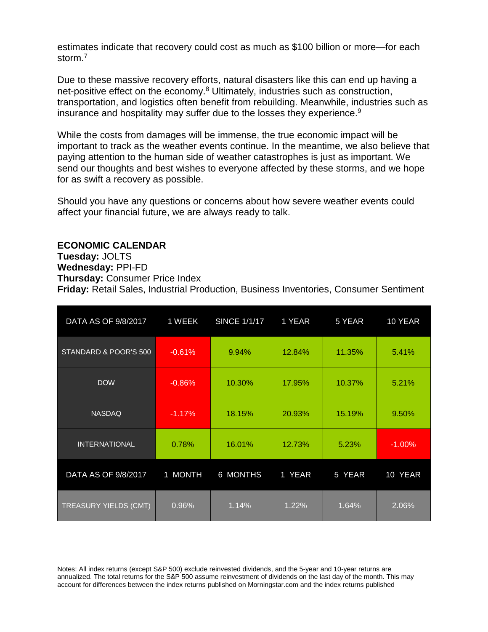estimates indicate that recovery could cost as much as \$100 billion or more—for each storm.<sup>7</sup>

Due to these massive recovery efforts, natural disasters like this can end up having a net-positive effect on the economy.<sup>8</sup> Ultimately, industries such as construction, transportation, and logistics often benefit from rebuilding. Meanwhile, industries such as insurance and hospitality may suffer due to the losses they experience.<sup>9</sup>

While the costs from damages will be immense, the true economic impact will be important to track as the weather events continue. In the meantime, we also believe that paying attention to the human side of weather catastrophes is just as important. We send our thoughts and best wishes to everyone affected by these storms, and we hope for as swift a recovery as possible.

Should you have any questions or concerns about how severe weather events could affect your financial future, we are always ready to talk.

#### **ECONOMIC CALENDAR**

**Tuesday:** JOLTS **Wednesday:** PPI-FD **Thursday:** Consumer Price Index **Friday:** Retail Sales, Industrial Production, Business Inventories, Consumer Sentiment

| DATA AS OF 9/8/2017          | 1 WEEK   | <b>SINCE 1/1/17</b> | 1 YEAR | 5 YEAR | 10 YEAR   |
|------------------------------|----------|---------------------|--------|--------|-----------|
| STANDARD & POOR'S 500        | $-0.61%$ | 9.94%               | 12.84% | 11.35% | 5.41%     |
| <b>DOW</b>                   | $-0.86%$ | 10.30%              | 17.95% | 10.37% | 5.21%     |
| <b>NASDAQ</b>                | $-1.17%$ | 18.15%              | 20.93% | 15.19% | 9.50%     |
| <b>INTERNATIONAL</b>         | 0.78%    | 16.01%              | 12.73% | 5.23%  | $-1.00\%$ |
| DATA AS OF 9/8/2017          | 1 MONTH  | 6 MONTHS            | 1 YEAR | 5 YEAR | 10 YEAR   |
| <b>TREASURY YIELDS (CMT)</b> | 0.96%    | 1.14%               | 1.22%  | 1.64%  | 2.06%     |

Notes: All index returns (except S&P 500) exclude reinvested dividends, and the 5-year and 10-year returns are annualized. The total returns for the S&P 500 assume reinvestment of dividends on the last day of the month. This may account for differences between the index returns published on [Morningstar.com](http://morningstar.com/) and the index returns published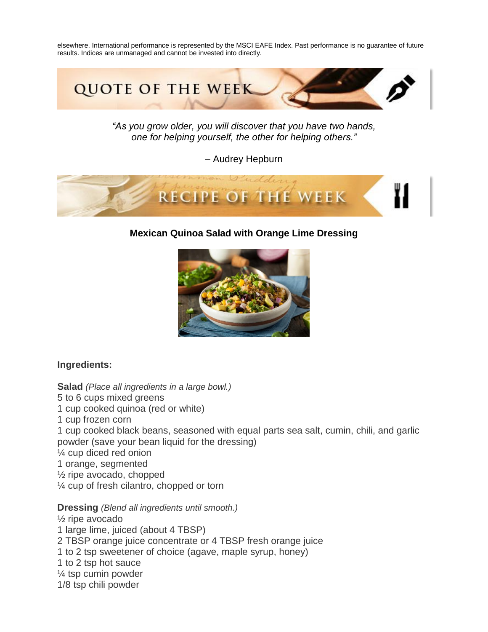elsewhere. International performance is represented by the MSCI EAFE Index. Past performance is no guarantee of future results. Indices are unmanaged and cannot be invested into directly.



*"As you grow older, you will discover that you have two hands, one for helping yourself, the other for helping others."*

– Audrey Hepburn



## **Mexican Quinoa Salad with Orange Lime Dressing**



## **Ingredients:**

**Salad** *(Place all ingredients in a large bowl.)* 5 to 6 cups mixed greens 1 cup cooked quinoa (red or white) 1 cup frozen corn 1 cup cooked black beans, seasoned with equal parts sea salt, cumin, chili, and garlic powder (save your bean liquid for the dressing) ¼ cup diced red onion 1 orange, segmented ½ ripe avocado, chopped ¼ cup of fresh cilantro, chopped or torn

#### **Dressing** *(Blend all ingredients until smooth.)*

½ ripe avocado 1 large lime, juiced (about 4 TBSP) 2 TBSP orange juice concentrate or 4 TBSP fresh orange juice 1 to 2 tsp sweetener of choice (agave, maple syrup, honey) 1 to 2 tsp hot sauce ¼ tsp cumin powder 1/8 tsp chili powder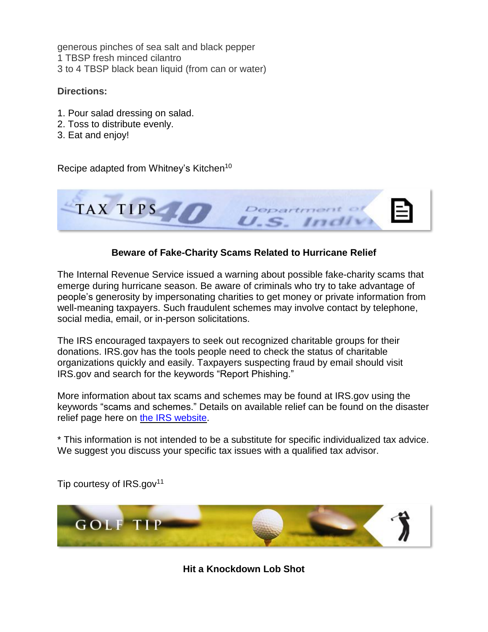generous pinches of sea salt and black pepper 1 TBSP fresh minced cilantro 3 to 4 TBSP black bean liquid (from can or water)

# **Directions:**

- 1. Pour salad dressing on salad.
- 2. Toss to distribute evenly.
- 3. Eat and enjoy!

Recipe adapted from Whitney's Kitchen<sup>10</sup>



# **Beware of Fake-Charity Scams Related to Hurricane Relief**

The Internal Revenue Service issued a warning about possible fake-charity scams that emerge during hurricane season. Be aware of criminals who try to take advantage of people's generosity by impersonating charities to get money or private information from well-meaning taxpayers. Such fraudulent schemes may involve contact by telephone, social media, email, or in-person solicitations.

The IRS encouraged taxpayers to seek out recognized charitable groups for their donations. IRS.gov has the tools people need to check the status of charitable organizations quickly and easily. Taxpayers suspecting fraud by email should visit IRS.gov and search for the keywords "Report Phishing."

More information about tax scams and schemes may be found at IRS.gov using the keywords "scams and schemes." Details on available relief can be found on the disaster relief page here on the IRS [website.](https://www.irs.gov/newsroom/tax-relief-in-disaster-situations)

\* This information is not intended to be a substitute for specific individualized tax advice. We suggest you discuss your specific tax issues with a qualified tax advisor.

Tip courtesy of  $IRS.gov^{11}$ 



**Hit a Knockdown Lob Shot**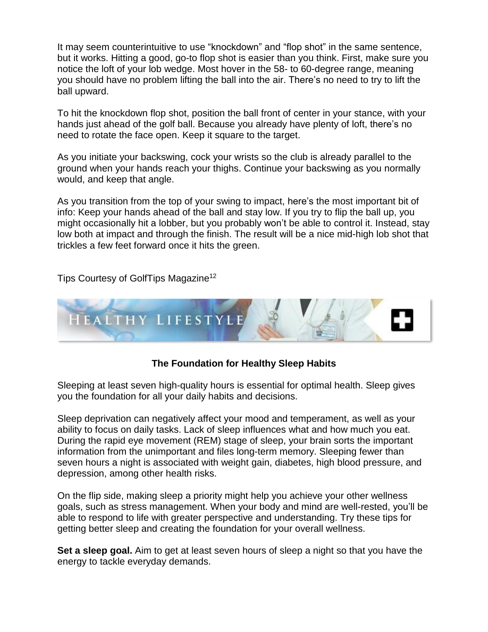It may seem counterintuitive to use "knockdown" and "flop shot" in the same sentence, but it works. Hitting a good, go-to flop shot is easier than you think. First, make sure you notice the loft of your lob wedge. Most hover in the 58- to 60-degree range, meaning you should have no problem lifting the ball into the air. There's no need to try to lift the ball upward.

To hit the knockdown flop shot, position the ball front of center in your stance, with your hands just ahead of the golf ball. Because you already have plenty of loft, there's no need to rotate the face open. Keep it square to the target.

As you initiate your backswing, cock your wrists so the club is already parallel to the ground when your hands reach your thighs. Continue your backswing as you normally would, and keep that angle.

As you transition from the top of your swing to impact, here's the most important bit of info: Keep your hands ahead of the ball and stay low. If you try to flip the ball up, you might occasionally hit a lobber, but you probably won't be able to control it. Instead, stay low both at impact and through the finish. The result will be a nice mid-high lob shot that trickles a few feet forward once it hits the green.

Tips Courtesy of GolfTips Magazine<sup>12</sup>



# **The Foundation for Healthy Sleep Habits**

Sleeping at least seven high-quality hours is essential for optimal health. Sleep gives you the foundation for all your daily habits and decisions.

Sleep deprivation can negatively affect your mood and temperament, as well as your ability to focus on daily tasks. Lack of sleep influences what and how much you eat. During the rapid eye movement (REM) stage of sleep, your brain sorts the important information from the unimportant and files long-term memory. Sleeping fewer than seven hours a night is associated with weight gain, diabetes, high blood pressure, and depression, among other health risks.

On the flip side, making sleep a priority might help you achieve your other wellness goals, such as stress management. When your body and mind are well-rested, you'll be able to respond to life with greater perspective and understanding. Try these tips for getting better sleep and creating the foundation for your overall wellness.

**Set a sleep goal.** Aim to get at least seven hours of sleep a night so that you have the energy to tackle everyday demands.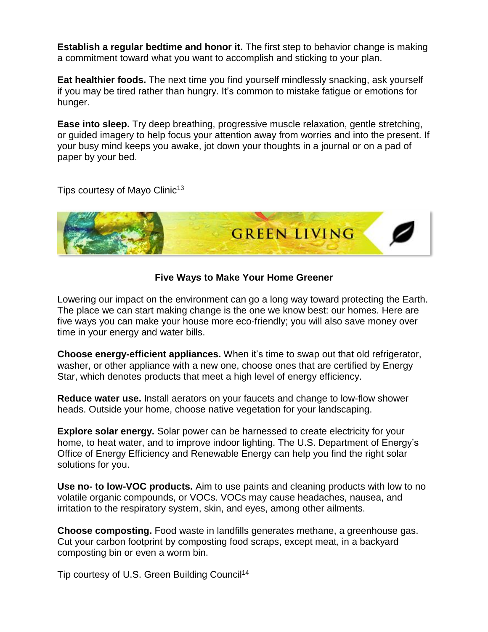**Establish a regular bedtime and honor it.** The first step to behavior change is making a commitment toward what you want to accomplish and sticking to your plan.

**Eat healthier foods.** The next time you find yourself mindlessly snacking, ask yourself if you may be tired rather than hungry. It's common to mistake fatigue or emotions for hunger.

**Ease into sleep.** Try deep breathing, progressive muscle relaxation, gentle stretching, or guided imagery to help focus your attention away from worries and into the present. If your busy mind keeps you awake, jot down your thoughts in a journal or on a pad of paper by your bed.

Tips courtesy of Mayo Clinic<sup>13</sup>



#### **Five Ways to Make Your Home Greener**

Lowering our impact on the environment can go a long way toward protecting the Earth. The place we can start making change is the one we know best: our homes. Here are five ways you can make your house more eco-friendly; you will also save money over time in your energy and water bills.

**Choose energy-efficient appliances.** When it's time to swap out that old refrigerator, washer, or other appliance with a new one, choose ones that are certified by Energy Star, which denotes products that meet a high level of energy efficiency.

**Reduce water use.** Install aerators on your faucets and change to low-flow shower heads. Outside your home, choose native vegetation for your landscaping.

**Explore solar energy.** Solar power can be harnessed to create electricity for your home, to heat water, and to improve indoor lighting. The U.S. Department of Energy's Office of Energy Efficiency and Renewable Energy can help you find the right solar solutions for you.

**Use no- to low-VOC products.** Aim to use paints and cleaning products with low to no volatile organic compounds, or VOCs. VOCs may cause headaches, nausea, and irritation to the respiratory system, skin, and eyes, among other ailments.

**Choose composting.** Food waste in landfills generates methane, a greenhouse gas. Cut your carbon footprint by composting food scraps, except meat, in a backyard composting bin or even a worm bin.

Tip courtesy of U.S. Green Building Council<sup>14</sup>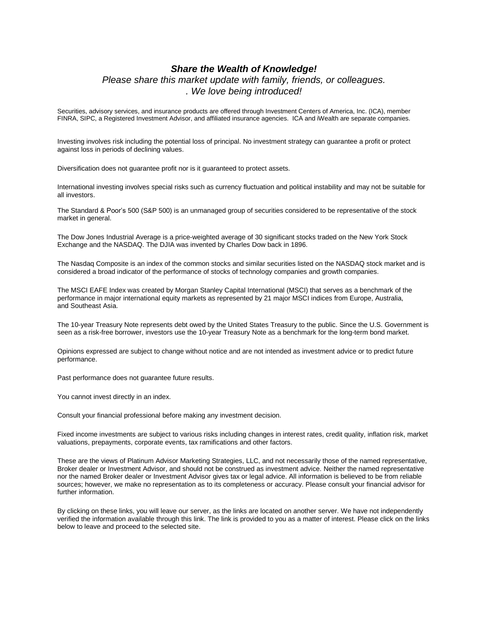#### *Share the Wealth of Knowledge!*

#### *Please share this market update with family, friends, or colleagues. . We love being introduced!*

Securities, advisory services, and insurance products are offered through Investment Centers of America, Inc. (ICA), member FINRA, SIPC, a Registered Investment Advisor, and affiliated insurance agencies. ICA and iWealth are separate companies.

Investing involves risk including the potential loss of principal. No investment strategy can guarantee a profit or protect against loss in periods of declining values.

Diversification does not guarantee profit nor is it guaranteed to protect assets.

International investing involves special risks such as currency fluctuation and political instability and may not be suitable for all investors.

The Standard & Poor's 500 (S&P 500) is an unmanaged group of securities considered to be representative of the stock market in general.

The Dow Jones Industrial Average is a price-weighted average of 30 significant stocks traded on the New York Stock Exchange and the NASDAQ. The DJIA was invented by Charles Dow back in 1896.

The Nasdaq Composite is an index of the common stocks and similar securities listed on the NASDAQ stock market and is considered a broad indicator of the performance of stocks of technology companies and growth companies.

The MSCI EAFE Index was created by Morgan Stanley Capital International (MSCI) that serves as a benchmark of the performance in major international equity markets as represented by 21 major MSCI indices from Europe, Australia, and Southeast Asia.

The 10-year Treasury Note represents debt owed by the United States Treasury to the public. Since the U.S. Government is seen as a risk-free borrower, investors use the 10-year Treasury Note as a benchmark for the long-term bond market.

Opinions expressed are subject to change without notice and are not intended as investment advice or to predict future performance.

Past performance does not guarantee future results.

You cannot invest directly in an index.

Consult your financial professional before making any investment decision.

Fixed income investments are subject to various risks including changes in interest rates, credit quality, inflation risk, market valuations, prepayments, corporate events, tax ramifications and other factors.

These are the views of Platinum Advisor Marketing Strategies, LLC, and not necessarily those of the named representative, Broker dealer or Investment Advisor, and should not be construed as investment advice. Neither the named representative nor the named Broker dealer or Investment Advisor gives tax or legal advice. All information is believed to be from reliable sources; however, we make no representation as to its completeness or accuracy. Please consult your financial advisor for further information.

By clicking on these links, you will leave our server, as the links are located on another server. We have not independently verified the information available through this link. The link is provided to you as a matter of interest. Please click on the links below to leave and proceed to the selected site.